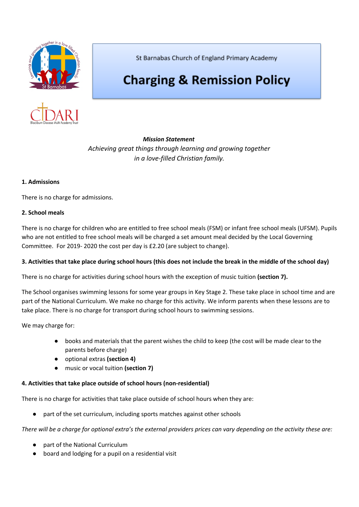



St Barnabas Church of England Primary Academy

# **Charging & Remission Policy**

*Mission Statement Achieving great things through learning and growing together in a love-filled Christian family.*

# **1. Admissions**

There is no charge for admissions.

## **2. School meals**

There is no charge for children who are entitled to free school meals (FSM) or infant free school meals (UFSM). Pupils who are not entitled to free school meals will be charged a set amount meal decided by the Local Governing Committee. For 2019- 2020 the cost per day is £2.20 (are subject to change).

# 3. Activities that take place during school hours (this does not include the break in the middle of the school day)

There is no charge for activities during school hours with the exception of music tuition **(section 7).**

The School organises swimming lessons for some year groups in Key Stage 2. These take place in school time and are part of the National Curriculum. We make no charge for this activity. We inform parents when these lessons are to take place. There is no charge for transport during school hours to swimming sessions.

We may charge for:

- books and materials that the parent wishes the child to keep (the cost will be made clear to the parents before charge)
- optional extras **(section 4)**
- music or vocal tuition **(section 7)**

## **4. Activities that take place outside of school hours (non-residential)**

There is no charge for activities that take place outside of school hours when they are:

part of the set curriculum, including sports matches against other schools

There will be a charge for optional extra's the external providers prices can vary depending on the activity these are:

- part of the National Curriculum
- board and lodging for a pupil on a residential visit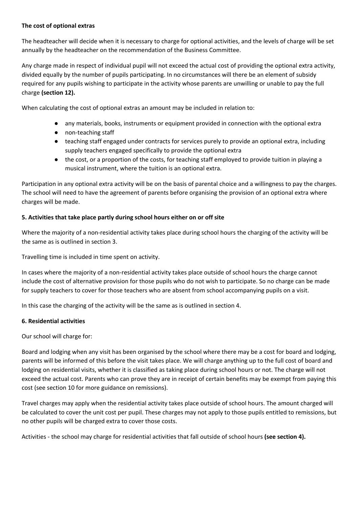# **The cost of optional extras**

The headteacher will decide when it is necessary to charge for optional activities, and the levels of charge will be set annually by the headteacher on the recommendation of the Business Committee.

Any charge made in respect of individual pupil will not exceed the actual cost of providing the optional extra activity, divided equally by the number of pupils participating. In no circumstances will there be an element of subsidy required for any pupils wishing to participate in the activity whose parents are unwilling or unable to pay the full charge **(section 12).**

When calculating the cost of optional extras an amount may be included in relation to:

- any materials, books, instruments or equipment provided in connection with the optional extra
- non-teaching staff
- teaching staff engaged under contracts for services purely to provide an optional extra, including supply teachers engaged specifically to provide the optional extra
- the cost, or a proportion of the costs, for teaching staff employed to provide tuition in playing a musical instrument, where the tuition is an optional extra.

Participation in any optional extra activity will be on the basis of parental choice and a willingness to pay the charges. The school will need to have the agreement of parents before organising the provision of an optional extra where charges will be made.

# **5. Activities that take place partly during school hours either on or off site**

Where the majority of a non-residential activity takes place during school hours the charging of the activity will be the same as is outlined in section 3.

Travelling time is included in time spent on activity.

In cases where the majority of a non-residential activity takes place outside of school hours the charge cannot include the cost of alternative provision for those pupils who do not wish to participate. So no charge can be made for supply teachers to cover for those teachers who are absent from school accompanying pupils on a visit.

In this case the charging of the activity will be the same as is outlined in section 4.

# **6. Residential activities**

Our school will charge for:

Board and lodging when any visit has been organised by the school where there may be a cost for board and lodging, parents will be informed of this before the visit takes place. We will charge anything up to the full cost of board and lodging on residential visits, whether it is classified as taking place during school hours or not. The charge will not exceed the actual cost. Parents who can prove they are in receipt of certain benefits may be exempt from paying this cost (see section 10 for more guidance on remissions).

Travel charges may apply when the residential activity takes place outside of school hours. The amount charged will be calculated to cover the unit cost per pupil. These charges may not apply to those pupils entitled to remissions, but no other pupils will be charged extra to cover those costs.

Activities - the school may charge for residential activities that fall outside of school hours **(see section 4).**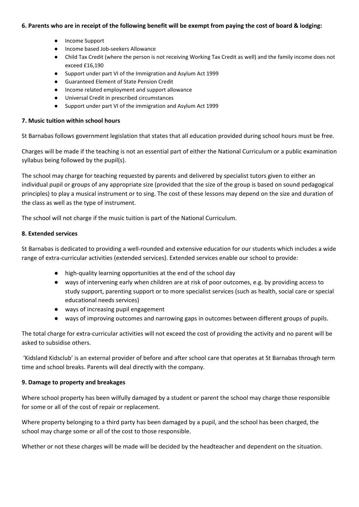## 6. Parents who are in receipt of the following benefit will be exempt from paying the cost of board & lodging:

- Income Support
- Income based Job-seekers Allowance
- Child Tax Credit (where the person is not receiving Working Tax Credit as well) and the family income does not exceed £16,190
- Support under part VI of the Immigration and Asylum Act 1999
- Guaranteed Element of State Pension Credit
- Income related employment and support allowance
- Universal Credit in prescribed circumstances
- Support under part VI of the immigration and Asylum Act 1999

## **7. Music tuition within school hours**

St Barnabas follows government legislation that states that all education provided during school hours must be free.

Charges will be made if the teaching is not an essential part of either the National Curriculum or a public examination syllabus being followed by the pupil(s).

The school may charge for teaching requested by parents and delivered by specialist tutors given to either an individual pupil or groups of any appropriate size (provided that the size of the group is based on sound pedagogical principles) to play a musical instrument or to sing. The cost of these lessons may depend on the size and duration of the class as well as the type of instrument.

The school will not charge if the music tuition is part of the National Curriculum.

## **8. Extended services**

St Barnabas is dedicated to providing a well-rounded and extensive education for our students which includes a wide range of extra-curricular activities (extended services). Extended services enable our school to provide:

- high-quality learning opportunities at the end of the school day
- ways of intervening early when children are at risk of poor outcomes, e.g. by providing access to study support, parenting support or to more specialist services (such as health, social care or special educational needs services)
- ways of increasing pupil engagement
- ways of improving outcomes and narrowing gaps in outcomes between different groups of pupils.

The total charge for extra-curricular activities will not exceed the cost of providing the activity and no parent will be asked to subsidise others.

'Kidsland Kidsclub' is an external provider of before and after school care that operates at St Barnabas through term time and school breaks. Parents will deal directly with the company.

## **9. Damage to property and breakages**

Where school property has been wilfully damaged by a student or parent the school may charge those responsible for some or all of the cost of repair or replacement.

Where property belonging to a third party has been damaged by a pupil, and the school has been charged, the school may charge some or all of the cost to those responsible.

Whether or not these charges will be made will be decided by the headteacher and dependent on the situation.